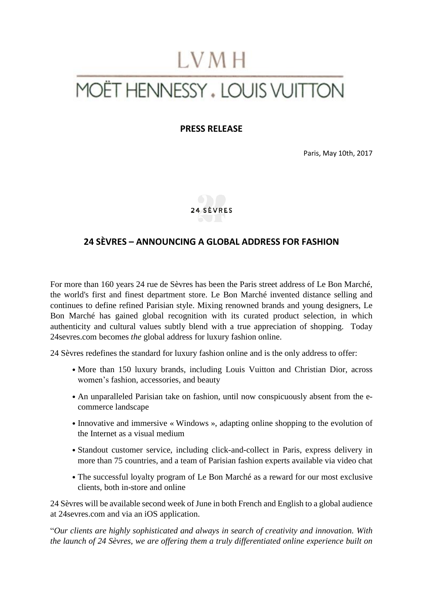# LVMH MOËT HENNESSY . LOUIS VUITTON

**PRESS RELEASE**

Paris, May 10th, 2017



## **24 SÈVRES – ANNOUNCING A GLOBAL ADDRESS FOR FASHION**

For more than 160 years 24 rue de Sèvres has been the Paris street address of Le Bon Marché, the world's first and finest department store. Le Bon Marché invented distance selling and continues to define refined Parisian style. Mixing renowned brands and young designers, Le Bon Marché has gained global recognition with its curated product selection, in which authenticity and cultural values subtly blend with a true appreciation of shopping. Today [24sevres.com](http://www.24sevres.com/) becomes *the* global address for luxury fashion online.

24 Sèvres redefines the standard for luxury fashion online and is the only address to offer:

- More than 150 luxury brands, including Louis Vuitton and Christian Dior, across women's fashion, accessories, and beauty
- An unparalleled Parisian take on fashion, until now conspicuously absent from the ecommerce landscape
- Innovative and immersive « Windows », adapting online shopping to the evolution of the Internet as a visual medium
- Standout customer service, including click-and-collect in Paris, express delivery in more than 75 countries, and a team of Parisian fashion experts available via video chat
- The successful loyalty program of Le Bon Marché as a reward for our most exclusive clients, both in-store and online

24 Sèvres will be available second week of June in both French and English to a global audience at [24sevres.com](http://www.24sevres.com/) and via an iOS application.

"*Our clients are highly sophisticated and always in search of creativity and innovation. With the launch of 24 Sèvres, we are offering them a truly differentiated online experience built on*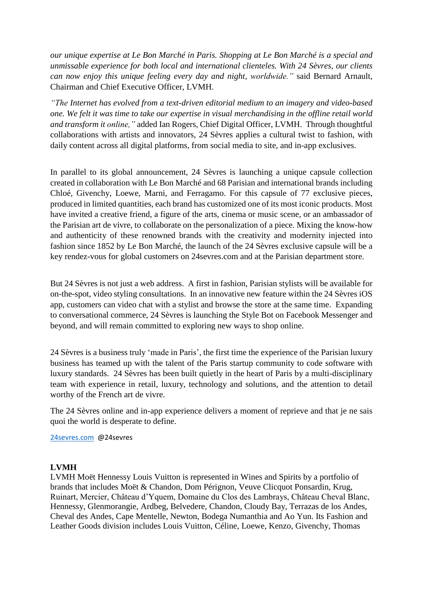*our unique expertise at Le Bon Marché in Paris. Shopping at Le Bon Marché is a special and unmissable experience for both local and international clienteles. With 24 Sèvres, our clients can now enjoy this unique feeling every day and night, worldwide."* said Bernard Arnault, Chairman and Chief Executive Officer, LVMH.

*"The Internet has evolved from a text-driven editorial medium to an imagery and video-based one. We felt it was time to take our expertise in visual merchandising in the offline retail world and transform it online,"* added Ian Rogers, Chief Digital Officer, LVMH. Through thoughtful collaborations with artists and innovators, 24 Sèvres applies a cultural twist to fashion, with daily content across all digital platforms, from social media to site, and in-app exclusives.

In parallel to its global announcement, 24 Sèvres is launching a unique capsule collection created in collaboration with Le Bon Marché and 68 Parisian and international brands including Chloé, Givenchy, Loewe, Marni, and Ferragamo. For this capsule of 77 exclusive pieces, produced in limited quantities, each brand has customized one of its most iconic products. Most have invited a creative friend, a figure of the arts, cinema or music scene, or an ambassador of the Parisian art de vivre, to collaborate on the personalization of a piece. Mixing the know-how and authenticity of these renowned brands with the creativity and modernity injected into fashion since 1852 by Le Bon Marché, the launch of the 24 Sèvres exclusive capsule will be a key rendez-vous for global customers on 24sevres.com and at the Parisian department store.

But 24 Sèvres is not just a web address. A first in fashion, Parisian stylists will be available for on-the-spot, video styling consultations. In an innovative new feature within the 24 Sèvres iOS app, customers can video chat with a stylist and browse the store at the same time. Expanding to conversational commerce, 24 Sèvres is launching the Style Bot on Facebook Messenger and beyond, and will remain committed to exploring new ways to shop online.

24 Sèvres is a business truly 'made in Paris', the first time the experience of the Parisian luxury business has teamed up with the talent of the Paris startup community to code software with luxury standards. 24 Sèvres has been built quietly in the heart of Paris by a multi-disciplinary team with experience in retail, luxury, technology and solutions, and the attention to detail worthy of the French art de vivre.

The 24 Sèvres online and in-app experience delivers a moment of reprieve and that je ne sais quoi the world is desperate to define.

#### [24sevres.com](http://www.24sevres.com/) @24sevres

#### **LVMH**

LVMH Moët Hennessy Louis Vuitton is represented in Wines and Spirits by a portfolio of brands that includes Moët & Chandon, Dom Pérignon, Veuve Clicquot Ponsardin, Krug, Ruinart, Mercier, Château d'Yquem, Domaine du Clos des Lambrays, Château Cheval Blanc, Hennessy, Glenmorangie, Ardbeg, Belvedere, Chandon, Cloudy Bay, Terrazas de los Andes, Cheval des Andes, Cape Mentelle, Newton, Bodega Numanthia and Ao Yun. Its Fashion and Leather Goods division includes Louis Vuitton, Céline, Loewe, Kenzo, Givenchy, Thomas